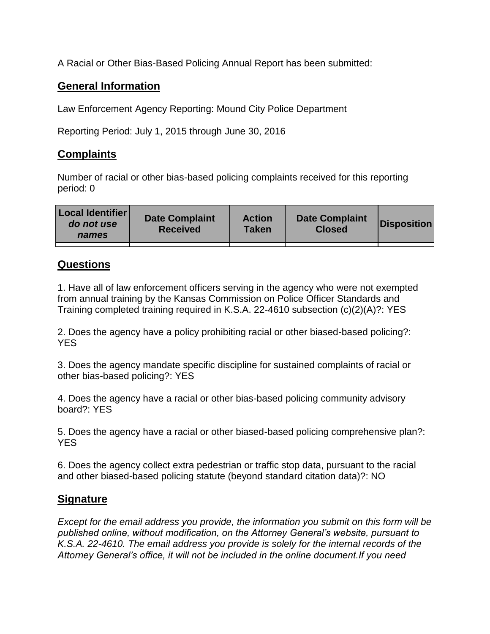A Racial or Other Bias-Based Policing Annual Report has been submitted:

## **General Information**

Law Enforcement Agency Reporting: Mound City Police Department

Reporting Period: July 1, 2015 through June 30, 2016

## **Complaints**

Number of racial or other bias-based policing complaints received for this reporting period: 0

| <b>Local Identifier</b><br>do not use<br>names | <b>Date Complaint</b><br><b>Received</b> | <b>Action</b><br><b>Taken</b> | <b>Date Complaint</b><br><b>Closed</b> | Disposition |
|------------------------------------------------|------------------------------------------|-------------------------------|----------------------------------------|-------------|
|                                                |                                          |                               |                                        |             |

## **Questions**

1. Have all of law enforcement officers serving in the agency who were not exempted from annual training by the Kansas Commission on Police Officer Standards and Training completed training required in K.S.A. 22-4610 subsection (c)(2)(A)?: YES

2. Does the agency have a policy prohibiting racial or other biased-based policing?: YES

3. Does the agency mandate specific discipline for sustained complaints of racial or other bias-based policing?: YES

4. Does the agency have a racial or other bias-based policing community advisory board?: YES

5. Does the agency have a racial or other biased-based policing comprehensive plan?: YES

6. Does the agency collect extra pedestrian or traffic stop data, pursuant to the racial and other biased-based policing statute (beyond standard citation data)?: NO

## **Signature**

*Except for the email address you provide, the information you submit on this form will be published online, without modification, on the Attorney General's website, pursuant to K.S.A. 22-4610. The email address you provide is solely for the internal records of the Attorney General's office, it will not be included in the online document.If you need*